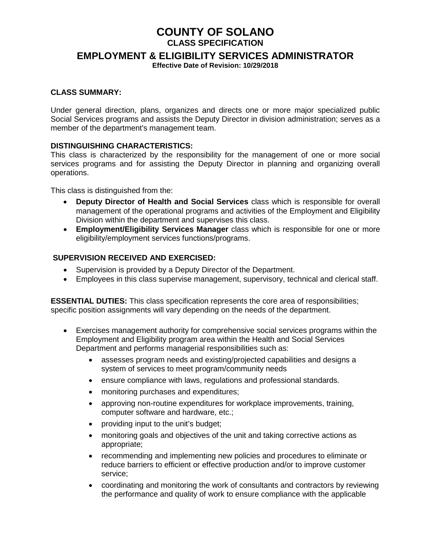# **COUNTY OF SOLANO**

**CLASS SPECIFICATION** 

**EMPLOYMENT & ELIGIBILITY SERVICES ADMINISTRATOR**

**Effective Date of Revision: 10/29/2018**

#### **CLASS SUMMARY:**

Under general direction, plans, organizes and directs one or more major specialized public Social Services programs and assists the Deputy Director in division administration; serves as a member of the department's management team.

#### **DISTINGUISHING CHARACTERISTICS:**

This class is characterized by the responsibility for the management of one or more social services programs and for assisting the Deputy Director in planning and organizing overall operations.

This class is distinguished from the:

- **Deputy Director of Health and Social Services** class which is responsible for overall management of the operational programs and activities of the Employment and Eligibility Division within the department and supervises this class.
- **Employment/Eligibility Services Manager** class which is responsible for one or more eligibility/employment services functions/programs.

#### **SUPERVISION RECEIVED AND EXERCISED:**

- Supervision is provided by a Deputy Director of the Department.
- Employees in this class supervise management, supervisory, technical and clerical staff.

**ESSENTIAL DUTIES:** This class specification represents the core area of responsibilities; specific position assignments will vary depending on the needs of the department.

- Exercises management authority for comprehensive social services programs within the Employment and Eligibility program area within the Health and Social Services Department and performs managerial responsibilities such as:
	- assesses program needs and existing/projected capabilities and designs a system of services to meet program/community needs
	- ensure compliance with laws, regulations and professional standards.
	- monitoring purchases and expenditures;
	- approving non-routine expenditures for workplace improvements, training, computer software and hardware, etc.;
	- providing input to the unit's budget;
	- monitoring goals and objectives of the unit and taking corrective actions as appropriate;
	- recommending and implementing new policies and procedures to eliminate or reduce barriers to efficient or effective production and/or to improve customer service;
	- coordinating and monitoring the work of consultants and contractors by reviewing the performance and quality of work to ensure compliance with the applicable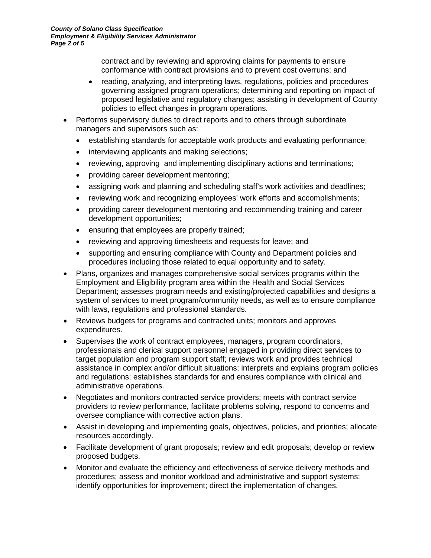contract and by reviewing and approving claims for payments to ensure conformance with contract provisions and to prevent cost overruns; and

- reading, analyzing, and interpreting laws, regulations, policies and procedures governing assigned program operations; determining and reporting on impact of proposed legislative and regulatory changes; assisting in development of County policies to effect changes in program operations.
- Performs supervisory duties to direct reports and to others through subordinate managers and supervisors such as:
	- establishing standards for acceptable work products and evaluating performance;
	- interviewing applicants and making selections;
	- reviewing, approving and implementing disciplinary actions and terminations;
	- providing career development mentoring;
	- assigning work and planning and scheduling staff's work activities and deadlines;
	- reviewing work and recognizing employees' work efforts and accomplishments;
	- providing career development mentoring and recommending training and career development opportunities;
	- ensuring that employees are properly trained;
	- reviewing and approving timesheets and requests for leave; and
	- supporting and ensuring compliance with County and Department policies and procedures including those related to equal opportunity and to safety.
- Plans, organizes and manages comprehensive social services programs within the Employment and Eligibility program area within the Health and Social Services Department; assesses program needs and existing/projected capabilities and designs a system of services to meet program/community needs, as well as to ensure compliance with laws, regulations and professional standards.
- Reviews budgets for programs and contracted units; monitors and approves expenditures.
- Supervises the work of contract employees, managers, program coordinators, professionals and clerical support personnel engaged in providing direct services to target population and program support staff; reviews work and provides technical assistance in complex and/or difficult situations; interprets and explains program policies and regulations; establishes standards for and ensures compliance with clinical and administrative operations.
- Negotiates and monitors contracted service providers; meets with contract service providers to review performance, facilitate problems solving, respond to concerns and oversee compliance with corrective action plans.
- Assist in developing and implementing goals, objectives, policies, and priorities; allocate resources accordingly.
- Facilitate development of grant proposals; review and edit proposals; develop or review proposed budgets.
- Monitor and evaluate the efficiency and effectiveness of service delivery methods and procedures; assess and monitor workload and administrative and support systems; identify opportunities for improvement; direct the implementation of changes.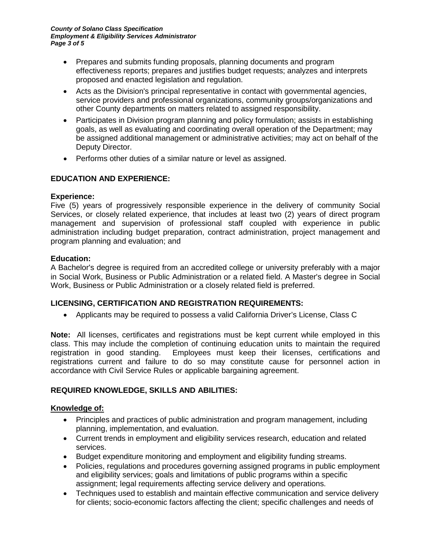- Prepares and submits funding proposals, planning documents and program effectiveness reports; prepares and justifies budget requests; analyzes and interprets proposed and enacted legislation and regulation.
- Acts as the Division's principal representative in contact with governmental agencies, service providers and professional organizations, community groups/organizations and other County departments on matters related to assigned responsibility.
- Participates in Division program planning and policy formulation; assists in establishing goals, as well as evaluating and coordinating overall operation of the Department; may be assigned additional management or administrative activities; may act on behalf of the Deputy Director.
- Performs other duties of a similar nature or level as assigned.

# **EDUCATION AND EXPERIENCE:**

## **Experience:**

Five (5) years of progressively responsible experience in the delivery of community Social Services, or closely related experience, that includes at least two (2) years of direct program management and supervision of professional staff coupled with experience in public administration including budget preparation, contract administration, project management and program planning and evaluation; and

## **Education:**

A Bachelor's degree is required from an accredited college or university preferably with a major in Social Work, Business or Public Administration or a related field. A Master's degree in Social Work, Business or Public Administration or a closely related field is preferred.

# **LICENSING, CERTIFICATION AND REGISTRATION REQUIREMENTS:**

• Applicants may be required to possess a valid California Driver's License, Class C

**Note:** All licenses, certificates and registrations must be kept current while employed in this class. This may include the completion of continuing education units to maintain the required registration in good standing. Employees must keep their licenses, certifications and Employees must keep their licenses, certifications and registrations current and failure to do so may constitute cause for personnel action in accordance with Civil Service Rules or applicable bargaining agreement.

# **REQUIRED KNOWLEDGE, SKILLS AND ABILITIES:**

## **Knowledge of:**

- Principles and practices of public administration and program management, including planning, implementation, and evaluation.
- Current trends in employment and eligibility services research, education and related services.
- Budget expenditure monitoring and employment and eligibility funding streams.
- Policies, regulations and procedures governing assigned programs in public employment and eligibility services; goals and limitations of public programs within a specific assignment; legal requirements affecting service delivery and operations.
- Techniques used to establish and maintain effective communication and service delivery for clients; socio-economic factors affecting the client; specific challenges and needs of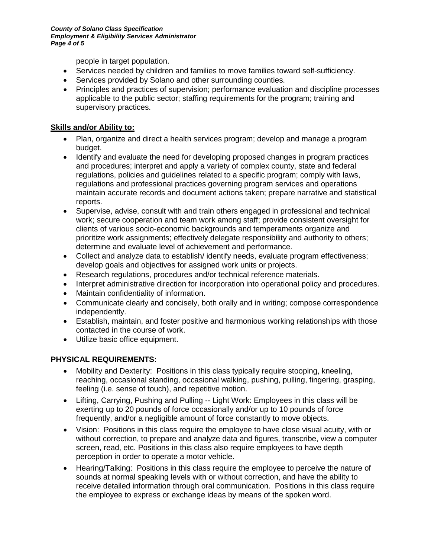people in target population.

- Services needed by children and families to move families toward self-sufficiency.
- Services provided by Solano and other surrounding counties.
- Principles and practices of supervision; performance evaluation and discipline processes applicable to the public sector; staffing requirements for the program; training and supervisory practices.

## **Skills and/or Ability to:**

- Plan, organize and direct a health services program; develop and manage a program budget.
- Identify and evaluate the need for developing proposed changes in program practices and procedures; interpret and apply a variety of complex county, state and federal regulations, policies and guidelines related to a specific program; comply with laws, regulations and professional practices governing program services and operations maintain accurate records and document actions taken; prepare narrative and statistical reports.
- Supervise, advise, consult with and train others engaged in professional and technical work; secure cooperation and team work among staff; provide consistent oversight for clients of various socio-economic backgrounds and temperaments organize and prioritize work assignments; effectively delegate responsibility and authority to others; determine and evaluate level of achievement and performance.
- Collect and analyze data to establish/identify needs, evaluate program effectiveness; develop goals and objectives for assigned work units or projects.
- Research regulations, procedures and/or technical reference materials.
- Interpret administrative direction for incorporation into operational policy and procedures.
- Maintain confidentiality of information.
- Communicate clearly and concisely, both orally and in writing; compose correspondence independently.
- Establish, maintain, and foster positive and harmonious working relationships with those contacted in the course of work.
- Utilize basic office equipment.

## **PHYSICAL REQUIREMENTS:**

- Mobility and Dexterity: Positions in this class typically require stooping, kneeling, reaching, occasional standing, occasional walking, pushing, pulling, fingering, grasping, feeling (i.e. sense of touch), and repetitive motion.
- Lifting, Carrying, Pushing and Pulling -- Light Work: Employees in this class will be exerting up to 20 pounds of force occasionally and/or up to 10 pounds of force frequently, and/or a negligible amount of force constantly to move objects.
- Vision: Positions in this class require the employee to have close visual acuity, with or without correction, to prepare and analyze data and figures, transcribe, view a computer screen, read, etc. Positions in this class also require employees to have depth perception in order to operate a motor vehicle.
- Hearing/Talking: Positions in this class require the employee to perceive the nature of sounds at normal speaking levels with or without correction, and have the ability to receive detailed information through oral communication. Positions in this class require the employee to express or exchange ideas by means of the spoken word.